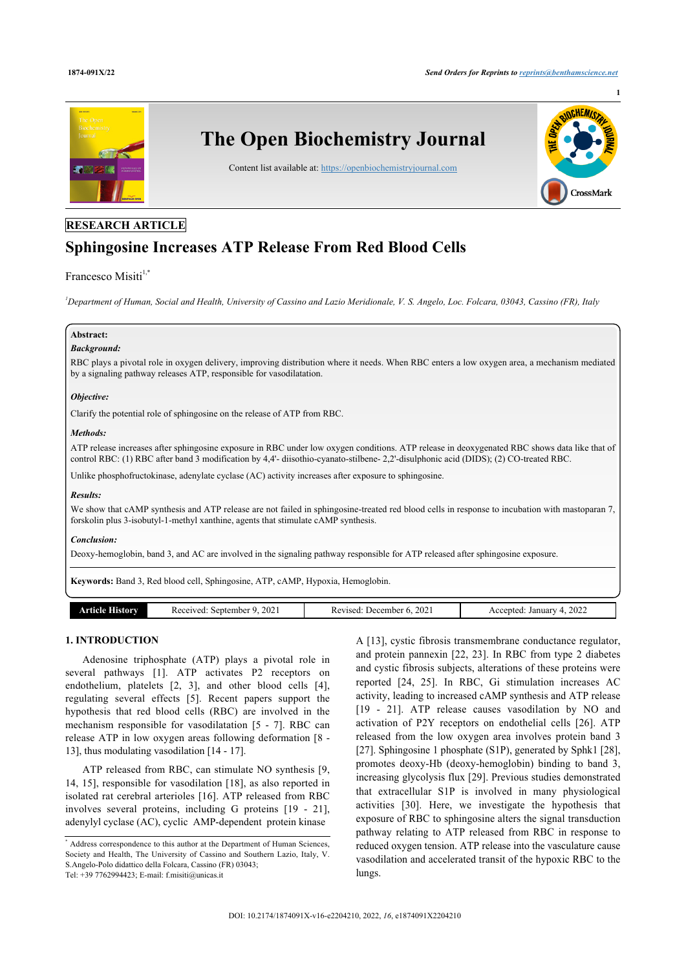

# **RESEARCH ARTICLE**

# **Sphingosine Increases ATP Release From Red Blood Cells**

# Francesco Misiti $1,$  $1,$ [\\*](#page-0-1)

<span id="page-0-0"></span>*<sup>1</sup>Department of Human, Social and Health, University of Cassino and Lazio Meridionale, V. S. Angelo, Loc. Folcara, 03043, Cassino (FR), Italy*

### **Abstract:**

#### *Background:*

RBC plays a pivotal role in oxygen delivery, improving distribution where it needs. When RBC enters a low oxygen area, a mechanism mediated by a signaling pathway releases ATP, responsible for vasodilatation.

#### *Objective:*

Clarify the potential role of sphingosine on the release of ATP from RBC.

#### *Methods:*

ATP release increases after sphingosine exposure in RBC under low oxygen conditions. ATP release in deoxygenated RBC shows data like that of control RBC: (1) RBC after band 3 modification by 4,4'- diisothio-cyanato-stilbene- 2,2'-disulphonic acid (DIDS); (2) CO-treated RBC.

Unlike phosphofructokinase, adenylate cyclase (AC) activity increases after exposure to sphingosine.

#### *Results:*

We show that cAMP synthesis and ATP release are not failed in sphingosine-treated red blood cells in response to incubation with mastoparan 7, forskolin plus 3-isobutyl-1-methyl xanthine, agents that stimulate cAMP synthesis.

#### *Conclusion:*

Deoxy-hemoglobin, band 3, and AC are involved in the signaling pathway responsible for ATP released after sphingosine exposure.

**Keywords:** Band 3, Red blood cell, Sphingosine, ATP, cAMP, Hypoxia, Hemoglobin.

| -liefarw<br>rticle | 202<br>ceived:<br>september<br>n. | 202<br>December 6<br>kevised:<br>nc | 2022<br>January<br>ccented<br>AC<br>. . |
|--------------------|-----------------------------------|-------------------------------------|-----------------------------------------|

# **1. INTRODUCTION**

Adenosine triphosphate (ATP) plays a pivotal role in several pathways[[1\]](#page-4-0). ATP activates P2 receptors on endothelium, platelets[[2](#page-4-1), [3](#page-4-2)], and other blood cells [\[4\]](#page-4-3), regulating several effects[[5\]](#page-4-4). Recent papers support the hypothesis that red blood cells (RBC) are involved in the mechanism responsible for vasodilatation[[5](#page-4-4) - [7](#page-4-5)]. RBC can release ATP in low oxygen areas following deformation [[8](#page-4-6) - [13\]](#page-5-0), thus modulating vasodilation [[14](#page-5-1) - [17](#page-5-2)].

ATP released from RBC, can stimulate NO synthesis [\[9](#page-4-7), [14,](#page-5-1) [15](#page-5-3)], responsible for vasodilation [\[18](#page-5-4)], as also reported in isolated rat cerebral arterioles [\[16\]](#page-5-5). ATP released from RBC involves several proteins, including G proteins[[19](#page-5-6) - [21\]](#page-5-7), adenylyl cyclase (AC), cyclic AMP-dependent protein kinase

A [[13\]](#page-5-0), cystic fibrosis transmembrane conductance regulator, and protein pannexin [[22](#page-5-8), [23](#page-5-9)]. In RBC from type 2 diabetes and cystic fibrosis subjects, alterations of these proteins were reported [\[24,](#page-5-10) [25\]](#page-5-11). In RBC, Gi stimulation increases AC activity, leading to increased cAMP synthesis and ATP release [[19](#page-5-6) - [21](#page-5-7)]. ATP release causes vasodilation by NO and activation of P2Y receptors on endothelial cells[[26\]](#page-5-12). ATP released from the low oxygen area involves protein band 3 [[27](#page-5-13)]. Sphingosine 1 phosphate (S1P), generated by Sphk1 [\[28](#page-5-14)], promotes deoxy-Hb (deoxy-hemoglobin) binding to band 3, increasing glycolysis flux [\[29\]](#page-5-15). Previous studies demonstrated that extracellular S1P is involved in many physiological activities[[30\]](#page-5-16). Here, we investigate the hypothesis that exposure of RBC to sphingosine alters the signal transduction pathway relating to ATP released from RBC in response to reduced oxygen tension. ATP release into the vasculature cause vasodilation and accelerated transit of the hypoxic RBC to the lungs.

<span id="page-0-1"></span><sup>\*</sup> Address correspondence to this author at the Department of Human Sciences, Society and Health, The University of Cassino and Southern Lazio, Italy, V. S.Angelo-Polo didattico della Folcara, Cassino (FR) 03043; Tel: +39 7762994423; E-mail: [f.misiti@unicas.it](mailto:f.misiti@unicas.it)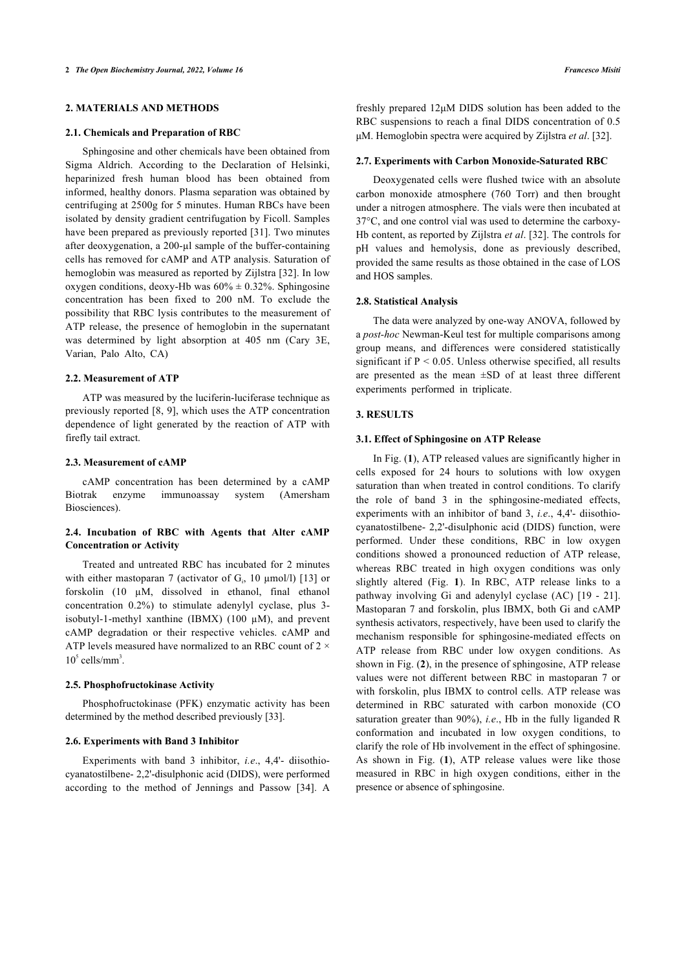### **2. MATERIALS AND METHODS**

#### **2.1. Chemicals and Preparation of RBC**

Sphingosine and other chemicals have been obtained from Sigma Aldrich. According to the Declaration of Helsinki, heparinized fresh human blood has been obtained from informed, healthy donors. Plasma separation was obtained by centrifuging at 2500g for 5 minutes. Human RBCs have been isolated by density gradient centrifugation by Ficoll. Samples have been prepared as previously reported [\[31\]](#page-5-17). Two minutes after deoxygenation, a 200-µl sample of the buffer-containing cells has removed for cAMP and ATP analysis. Saturation of hemoglobin was measured as reported by Zijlstra [\[32](#page-5-18)]. In low oxygen conditions, deoxy-Hb was  $60\% \pm 0.32\%$ . Sphingosine concentration has been fixed to 200 nM. To exclude the possibility that RBC lysis contributes to the measurement of ATP release, the presence of hemoglobin in the supernatant was determined by light absorption at 405 nm (Cary 3E, Varian, Palo Alto, CA)

#### **2.2. Measurement of ATP**

ATP was measured by the luciferin-luciferase technique as previously reported [\[8,](#page-4-6) [9\]](#page-4-7), which uses the ATP concentration dependence of light generated by the reaction of ATP with firefly tail extract.

#### **2.3. Measurement of cAMP**

cAMP concentration has been determined by a cAMP Biotrak enzyme immunoassay system (Amersham Biosciences).

# **2.4. Incubation of RBC with Agents that Alter cAMP Concentration or Activity**

Treated and untreated RBC has incubated for 2 minutes with either mastoparan 7 (activator of  $G_i$ , 10  $\mu$ mol/l) [\[13](#page-5-0)] or forskolin (10 µM, dissolved in ethanol, final ethanol concentration 0.2%) to stimulate adenylyl cyclase, plus 3 isobutyl-1-methyl xanthine (IBMX) (100  $\mu$ M), and prevent cAMP degradation or their respective vehicles. cAMP and ATP levels measured have normalized to an RBC count of  $2 \times$  $10<sup>5</sup>$  cells/mm<sup>3</sup>.

#### **2.5. Phosphofructokinase Activity**

Phosphofructokinase (PFK) enzymatic activity has been determined by the method described previously [\[33](#page-5-4)].

#### **2.6. Experiments with Band 3 Inhibitor**

<span id="page-1-0"></span>Experiments with band 3 inhibitor, *i.e*., 4,4'- diisothiocyanatostilbene- 2,2'-disulphonic acid (DIDS), were performed according to the method of Jennings and Passow [\[34\]](#page-5-19). A

freshly prepared 12μM DIDS solution has been added to the RBC suspensions to reach a final DIDS concentration of 0.5 μM. Hemoglobin spectra were acquired by Zijlstra *et al*. [\[32](#page-5-18)].

#### **2.7. Experiments with Carbon Monoxide-Saturated RBC**

Deoxygenated cells were flushed twice with an absolute carbon monoxide atmosphere (760 Torr) and then brought under a nitrogen atmosphere. The vials were then incubated at 37°C, and one control vial was used to determine the carboxy-Hb content, as reported by Zijlstra *et al*. [\[32](#page-5-18)]. The controls for pH values and hemolysis, done as previously described, provided the same results as those obtained in the case of LOS and HOS samples.

#### **2.8. Statistical Analysis**

The data were analyzed by one-way ANOVA, followed by a *post-hoc* Newman-Keul test for multiple comparisons among group means, and differences were considered statistically significant if  $P < 0.05$ . Unless otherwise specified, all results are presented as the mean ±SD of at least three different experiments performed in triplicate.

### **3. RESULTS**

#### **3.1. Effect of Sphingosine on ATP Release**

In Fig. (**[1](#page-1-0)**), ATP released values are significantly higher in cells exposed for 24 hours to solutions with low oxygen saturation than when treated in control conditions. To clarify the role of band 3 in the sphingosine-mediated effects, experiments with an inhibitor of band 3, *i.e*., 4,4'- diisothiocyanatostilbene- 2,2'-disulphonic acid (DIDS) function, were performed. Under these conditions, RBC in low oxygen conditions showed a pronounced reduction of ATP release, whereas RBC treated [in](#page-1-0) high oxygen conditions was only slightly altered (Fig. **1**). In RBC, ATP releasel[ink](#page-5-6)s [to](#page-5-7) a pathway involving Gi and adenylyl cyclase (AC) [19 - 21]. Mastoparan 7 and forskolin, plus IBMX, both Gi and cAMP synthesis activators, respectively, have been used to clarify the mechanism responsible for sphingosine-mediated effects on ATP releasef[ro](#page-2-0)m RBC under low oxygen conditions. As shown in Fig. (**2**), in the presence of sphingosine, ATP release values were not different between RBC in mastoparan 7 or with forskolin, plus IBMX to control cells. ATP release was determined in RBC saturated with carbon monoxide (CO saturation greater than 90%), *i.e*., Hb in the fully liganded R conformation and incubated in low oxygen conditions, to clarify the role of H[b i](#page-1-0)nvolvement in the effect of sphingosine. As shown in Fig. (**1**), ATP release values were like those measured in RBC in high oxygen conditions, either in the presence or absence of sphingosine.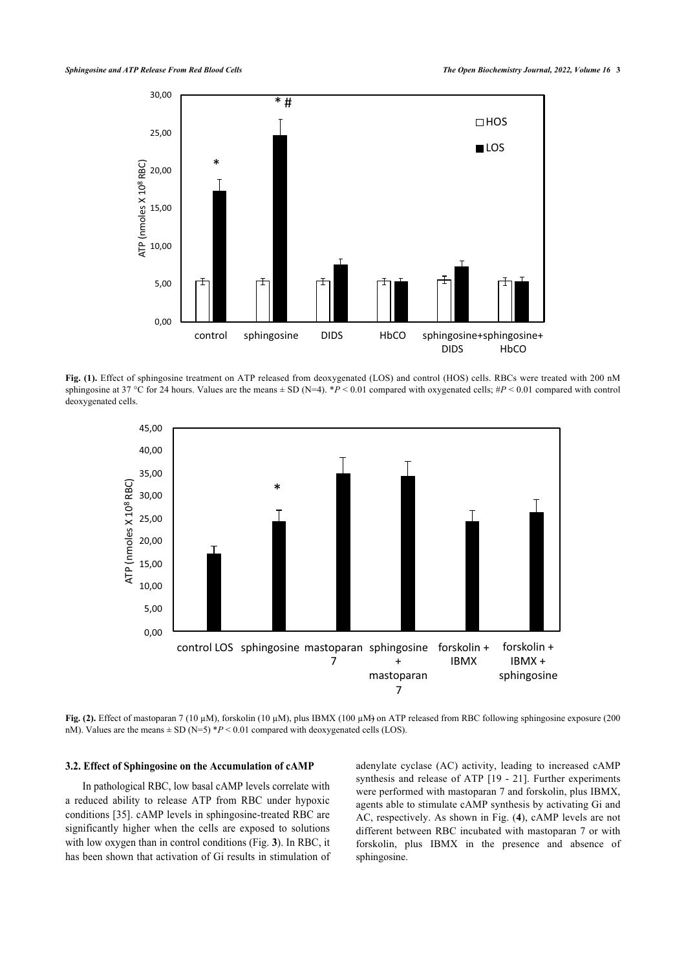

<span id="page-2-0"></span>**Fig. (1).** Effect of sphingosine treatment on ATP released from deoxygenated (LOS) and control (HOS) cells. RBCs were treated with 200 nM sphingosine at 37 °C for 24 hours. Values are the means  $\pm$  SD (N=4).  $\ast P$  < 0.01 compared with oxygenated cells;  $\sharp P$  < 0.01 compared with control deoxygenated cells.



**Fig. (2).** Effect of mastoparan 7 (10 µM), forskolin (10 µM), plus IBMX (100 µM) on ATP released from RBC following sphingosine exposure (200 nM). Values are the means  $\pm$  SD (N=5)  $*P < 0.01$  compared with deoxygenated cells (LOS).

#### **3.2. Effect of Sphingosine on the Accumulation of cAMP**

<span id="page-2-1"></span>In pathological RBC, low basal cAMP levels correlate with a reduced ability to release ATP from RBC under hypoxic conditions [[35](#page-5-20)]. cAMP levels in sphingosine-treated RBC are significantly higher when the cells are exposed to solutions with low oxygen than in control conditions (Fig. **[3](#page-2-1)**). In RBC, it has been shown that activation of Gi results in stimulation of adenylate cyclase (AC) activity, leading to increased cAMP synthesis and release of ATP [\[19](#page-5-6) - [21](#page-5-7)]. Further experiments were performed with mastoparan 7 and forskolin, plus IBMX, agents able to stimulate cAMP synthesis by activating Gi and AC, respectively. As shown in Fig. (**[4](#page-3-0)**), cAMP levels are not different between RBC incubated with mastoparan 7 or with forskolin, plus IBMX in the presence and absence of sphingosine.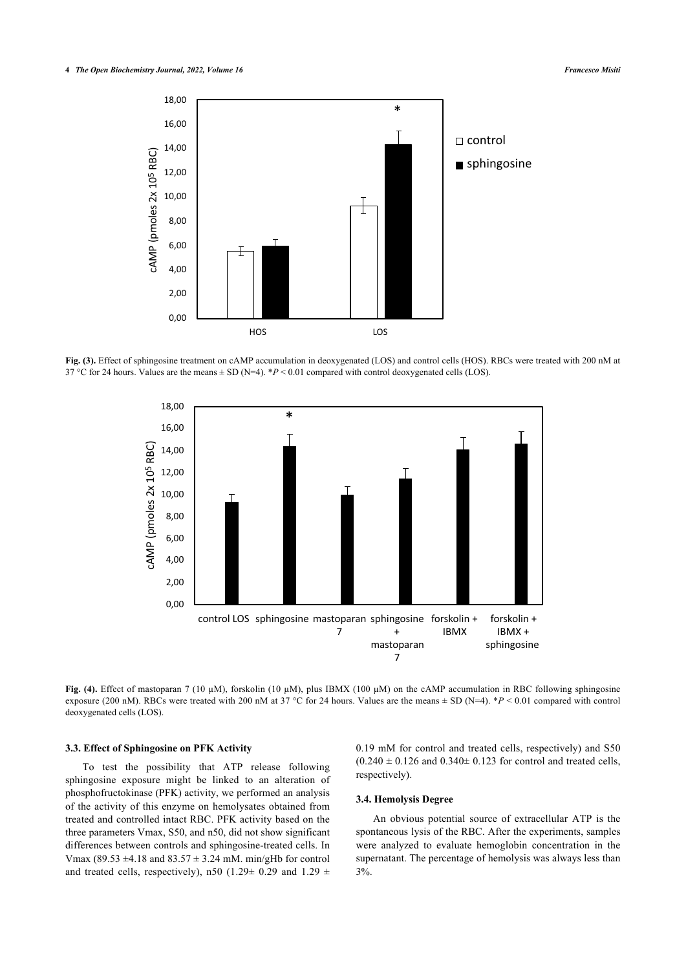

<span id="page-3-0"></span>**Fig. (3).** Effect of sphingosine treatment on cAMP accumulation in deoxygenated (LOS) and control cells (HOS). RBCs were treated with 200 nM at 37 °C for 24 hours. Values are the means ± SD (N=4). \**P* < 0.01 compared with control deoxygenated cells (LOS).



**Fig. (4).** Effect of mastoparan 7 (10 µM), forskolin (10 µM), plus IBMX (100 µM) on the cAMP accumulation in RBC following sphingosine exposure (200 nM). RBCs were treated with 200 nM at 37 °C for 24 hours. Values are the means ± SD (N=4). \**P* < 0.01 compared with control deoxygenated cells (LOS).

#### **3.3. Effect of Sphingosine on PFK Activity**

To test the possibility that ATP release following sphingosine exposure might be linked to an alteration of phosphofructokinase (PFK) activity, we performed an analysis of the activity of this enzyme on hemolysates obtained from treated and controlled intact RBC. PFK activity based on the three parameters Vmax, S50, and n50, did not show significant differences between controls and sphingosine-treated cells. In Vmax (89.53  $\pm$ 4.18 and 83.57  $\pm$  3.24 mM. min/gHb for control and treated cells, respectively), n50 (1.29 $\pm$  0.29 and 1.29  $\pm$ 

0.19 mM for control and treated cells, respectively) and S50  $(0.240 \pm 0.126$  and  $(0.340 \pm 0.123)$  for control and treated cells, respectively).

# **3.4. Hemolysis Degree**

An obvious potential source of extracellular ATP is the spontaneous lysis of the RBC. After the experiments, samples were analyzed to evaluate hemoglobin concentration in the supernatant. The percentage of hemolysis was always less than 3%.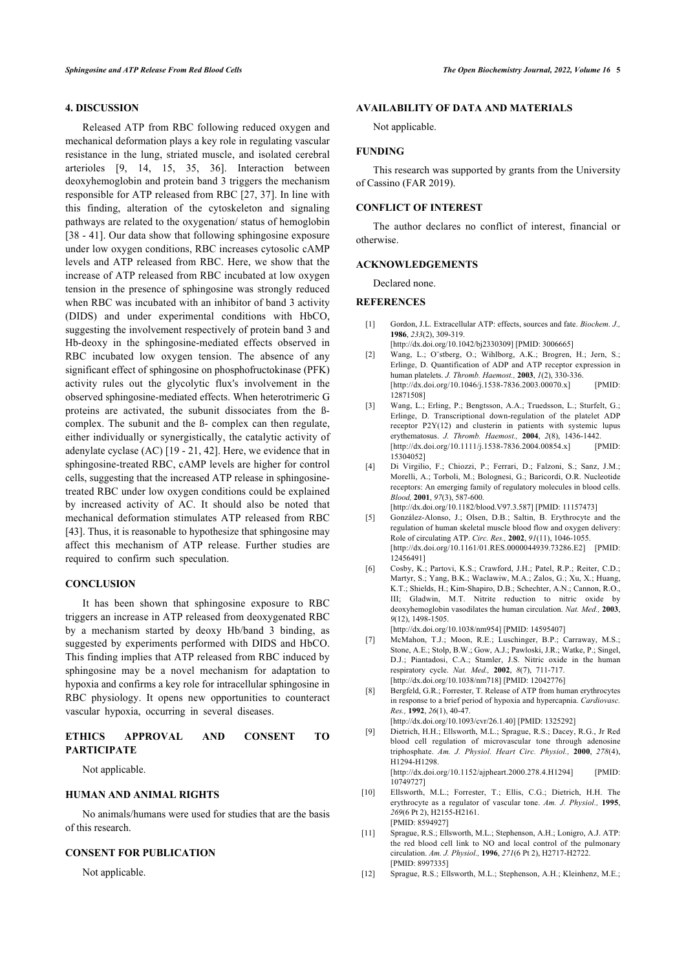# **4. DISCUSSION**

<span id="page-4-1"></span><span id="page-4-0"></span>Released ATP from RBC following reduced oxygen and mechanical deformation plays a key role in regulating vascular resistance in the lung, striated muscle, and isolated cerebral arterioles[[9](#page-4-7), [14](#page-5-1), [15,](#page-5-3) [35,](#page-5-20) [36\]](#page-5-21). Interaction between deoxyhemoglobin and protein band 3 triggers the mechanism responsible for ATP released from RBC [[27](#page-5-13), [37](#page-5-22)]. In line with this finding, alteration of the cytoskeleton and signaling pathways are related to the oxygenation/ status of hemoglobin [[38](#page-5-8) - [41](#page-5-23)]. Our data show that following sphingosine exposure under low oxygen conditions, RBC increases cytosolic cAMP levels and ATP released from RBC. Here, we show that the increase of ATP released from RBC incubated at low oxygen tension in the presence of sphingosine was strongly reduced when RBC was incubated with an inhibitor of band 3 activity (DIDS) and under experimental conditions with HbCO, suggesting the involvement respectively of protein band 3 and Hb-deoxy in the sphingosine-mediated effects observed in RBC incubated low oxygen tension. The absence of any significant effect of sphingosine on phosphofructokinase (PFK) activity rules out the glycolytic flux's involvement in the observed sphingosine-mediated effects. When heterotrimeric G proteins are activated, the subunit dissociates from the ßcomplex. The subunit and the ß- complex can then regulate, either individually or synergistically, the catalytic activity of adenylate cyclase (AC) [[19](#page-5-6) - [21](#page-5-7), [42](#page-5-24)]. Here, we evidence that in sphingosine-treated RBC, cAMP levels are higher for control cells, suggesting that the increased ATP release in sphingosinetreated RBC under low oxygen conditions could be explained by increased activity of AC. It should also be noted that mechanical deformation stimulates ATP released from RBC [[43\]](#page-5-25). Thus, it is reasonable to hypothesize that sphingosine may affect this mechanism of ATP release. Further studies are required to confirm such speculation.

#### <span id="page-4-4"></span><span id="page-4-3"></span><span id="page-4-2"></span>**CONCLUSION**

<span id="page-4-5"></span>It has been shown that sphingosine exposure to RBC triggers an increase in ATP released from deoxygenated RBC by a mechanism started by deoxy Hb/band 3 binding, as suggested by experiments performed with DIDS and HbCO. This finding implies that ATP released from RBC induced by sphingosine may be a novel mechanism for adaptation to hypoxia and confirms a key role for intracellular sphingosine in RBC physiology. It opens new opportunities to counteract vascular hypoxia, occurring in several diseases.

### <span id="page-4-7"></span><span id="page-4-6"></span>**ETHICS APPROVAL AND CONSENT TO PARTICIPATE**

Not applicable.

# **HUMAN AND ANIMAL RIGHTS**

No animals/humans were used for studies that are the basis of this research.

#### **CONSENT FOR PUBLICATION**

Not applicable.

### **AVAILABILITY OF DATA AND MATERIALS**

Not applicable.

#### **FUNDING**

This research was supported by grants from the University of Cassino (FAR 2019).

# **CONFLICT OF INTEREST**

The author declares no conflict of interest, financial or otherwise.

#### **ACKNOWLEDGEMENTS**

Declared none.

# **REFERENCES**

- [1] Gordon, J.L. Extracellular ATP: effects, sources and fate. *Biochem. J.,* **1986**, *233*(2), 309-319.
- [\[http://dx.doi.org/10.1042/bj2330309](http://dx.doi.org/10.1042/bj2330309)] [PMID: [3006665\]](http://www.ncbi.nlm.nih.gov/pubmed/3006665)
- [2] Wang, L.; O¨stberg, O.; Wihlborg, A.K.; Brogren, H.; Jern, S.; Erlinge, D. Quantification of ADP and ATP receptor expression in human platelets. *J. Thromb. Haemost.,* **2003**, *1*(2), 330-336. [\[http://dx.doi.org/10.1046/j.1538-7836.2003.00070.x\]](http://dx.doi.org/10.1046/j.1538-7836.2003.00070.x) [PMID: [12871508\]](http://www.ncbi.nlm.nih.gov/pubmed/12871508)
- [3] Wang, L.; Erling, P.; Bengtsson, A.A.; Truedsson, L.; Sturfelt, G.; Erlinge, D. Transcriptional down-regulation of the platelet ADP receptor P2Y(12) and clusterin in patients with systemic lupus erythematosus. *J. Thromb. Haemost.,* **2004**, *2*(8), 1436-1442. [\[http://dx.doi.org/10.1111/j.1538-7836.2004.00854.x\]](http://dx.doi.org/10.1111/j.1538-7836.2004.00854.x) [PMID: [15304052\]](http://www.ncbi.nlm.nih.gov/pubmed/15304052)
- [4] Di Virgilio, F.; Chiozzi, P.; Ferrari, D.; Falzoni, S.; Sanz, J.M.; Morelli, A.; Torboli, M.; Bolognesi, G.; Baricordi, O.R. Nucleotide receptors: An emerging family of regulatory molecules in blood cells. *Blood,* **2001**, *97*(3), 587-600.
- [\[http://dx.doi.org/10.1182/blood.V97.3.587\]](http://dx.doi.org/10.1182/blood.V97.3.587) [PMID: [11157473](http://www.ncbi.nlm.nih.gov/pubmed/11157473)] [5] González-Alonso, J.; Olsen, D.B.; Saltin, B. Erythrocyte and the regulation of human skeletal muscle blood flow and oxygen delivery: Role of circulating ATP. *Circ. Res.,* **2002**, *91*(11), 1046-1055. [\[http://dx.doi.org/10.1161/01.RES.0000044939.73286.E2\]](http://dx.doi.org/10.1161/01.RES.0000044939.73286.E2) [PMID: [12456491\]](http://www.ncbi.nlm.nih.gov/pubmed/12456491)
- [6] Cosby, K.; Partovi, K.S.; Crawford, J.H.; Patel, R.P.; Reiter, C.D.; Martyr, S.; Yang, B.K.; Waclawiw, M.A.; Zalos, G.; Xu, X.; Huang, K.T.; Shields, H.; Kim-Shapiro, D.B.; Schechter, A.N.; Cannon, R.O., III; Gladwin, M.T. Nitrite reduction to nitric oxide by deoxyhemoglobin vasodilates the human circulation. *Nat. Med.,* **2003**, *9*(12), 1498-1505.

[\[http://dx.doi.org/10.1038/nm954\]](http://dx.doi.org/10.1038/nm954) [PMID: [14595407\]](http://www.ncbi.nlm.nih.gov/pubmed/14595407)

- [7] McMahon, T.J.; Moon, R.E.; Luschinger, B.P.; Carraway, M.S.; Stone, A.E.; Stolp, B.W.; Gow, A.J.; Pawloski, J.R.; Watke, P.; Singel, D.J.; Piantadosi, C.A.; Stamler, J.S. Nitric oxide in the human respiratory cycle. *Nat. Med.,* **2002**, *8*(7), 711-717. [\[http://dx.doi.org/10.1038/nm718\]](http://dx.doi.org/10.1038/nm718) [PMID: [12042776\]](http://www.ncbi.nlm.nih.gov/pubmed/12042776)
- [8] Bergfeld, G.R.; Forrester, T. Release of ATP from human erythrocytes in response to a brief period of hypoxia and hypercapnia. *Cardiovasc. Res.,* **1992**, *26*(1), 40-47.

[\[http://dx.doi.org/10.1093/cvr/26.1.40](http://dx.doi.org/10.1093/cvr/26.1.40)] [PMID: [1325292](http://www.ncbi.nlm.nih.gov/pubmed/1325292)]

- [9] Dietrich, H.H.; Ellsworth, M.L.; Sprague, R.S.; Dacey, R.G., Jr Red blood cell regulation of microvascular tone through adenosine triphosphate. *Am. J. Physiol. Heart Circ. Physiol.,* **2000**, *278*(4), H1294-H1298. [\[http://dx.doi.org/10.1152/ajpheart.2000.278.4.H1294](http://dx.doi.org/10.1152/ajpheart.2000.278.4.H1294)] [PMID: [10749727\]](http://www.ncbi.nlm.nih.gov/pubmed/10749727)
- [10] Ellsworth, M.L.; Forrester, T.; Ellis, C.G.; Dietrich, H.H. The erythrocyte as a regulator of vascular tone. *Am. J. Physiol.,* **1995**, *269*(6 Pt 2), H2155-H2161. [PMID: [8594927](http://www.ncbi.nlm.nih.gov/pubmed/8594927)]
- [11] Sprague, R.S.; Ellsworth, M.L.; Stephenson, A.H.; Lonigro, A.J. ATP: the red blood cell link to NO and local control of the pulmonary circulation. *Am. J. Physiol.,* **1996**, *271*(6 Pt 2), H2717-H2722. [PMID: [8997335](http://www.ncbi.nlm.nih.gov/pubmed/8997335)]
- [12] Sprague, R.S.; Ellsworth, M.L.; Stephenson, A.H.; Kleinhenz, M.E.;